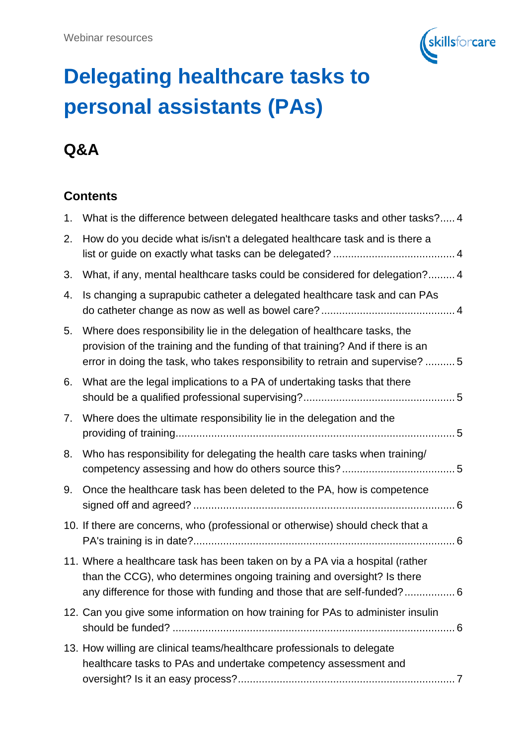

# **Delegating healthcare tasks to personal assistants (PAs)**

# **Q&A**

#### **Contents**

| 1. | What is the difference between delegated healthcare tasks and other tasks? 4                                                                                                                                                                 |
|----|----------------------------------------------------------------------------------------------------------------------------------------------------------------------------------------------------------------------------------------------|
| 2. | How do you decide what is/isn't a delegated healthcare task and is there a                                                                                                                                                                   |
| 3. | What, if any, mental healthcare tasks could be considered for delegation? 4                                                                                                                                                                  |
| 4. | Is changing a suprapubic catheter a delegated healthcare task and can PAs                                                                                                                                                                    |
| 5. | Where does responsibility lie in the delegation of healthcare tasks, the<br>provision of the training and the funding of that training? And if there is an<br>error in doing the task, who takes responsibility to retrain and supervise?  5 |
| 6. | What are the legal implications to a PA of undertaking tasks that there                                                                                                                                                                      |
| 7. | Where does the ultimate responsibility lie in the delegation and the                                                                                                                                                                         |
| 8. | Who has responsibility for delegating the health care tasks when training/                                                                                                                                                                   |
| 9. | Once the healthcare task has been deleted to the PA, how is competence                                                                                                                                                                       |
|    | 10. If there are concerns, who (professional or otherwise) should check that a                                                                                                                                                               |
|    | 11. Where a healthcare task has been taken on by a PA via a hospital (rather<br>than the CCG), who determines ongoing training and oversight? Is there<br>any difference for those with funding and those that are self-funded? 6            |
|    | 12. Can you give some information on how training for PAs to administer insulin                                                                                                                                                              |
|    | 13. How willing are clinical teams/healthcare professionals to delegate<br>healthcare tasks to PAs and undertake competency assessment and                                                                                                   |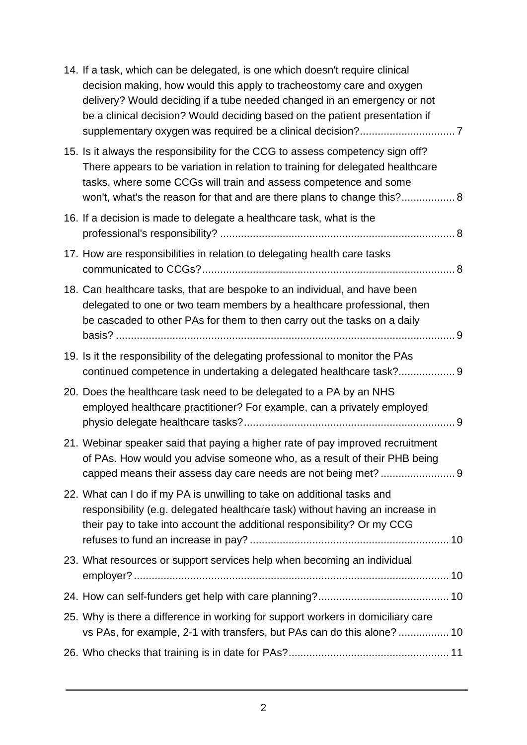| 14. If a task, which can be delegated, is one which doesn't require clinical<br>decision making, how would this apply to tracheostomy care and oxygen<br>delivery? Would deciding if a tube needed changed in an emergency or not<br>be a clinical decision? Would deciding based on the patient presentation if |
|------------------------------------------------------------------------------------------------------------------------------------------------------------------------------------------------------------------------------------------------------------------------------------------------------------------|
| 15. Is it always the responsibility for the CCG to assess competency sign off?<br>There appears to be variation in relation to training for delegated healthcare<br>tasks, where some CCGs will train and assess competence and some<br>won't, what's the reason for that and are there plans to change this? 8  |
| 16. If a decision is made to delegate a healthcare task, what is the                                                                                                                                                                                                                                             |
| 17. How are responsibilities in relation to delegating health care tasks                                                                                                                                                                                                                                         |
| 18. Can healthcare tasks, that are bespoke to an individual, and have been<br>delegated to one or two team members by a healthcare professional, then<br>be cascaded to other PAs for them to then carry out the tasks on a daily                                                                                |
| 19. Is it the responsibility of the delegating professional to monitor the PAs<br>continued competence in undertaking a delegated healthcare task? 9                                                                                                                                                             |
| 20. Does the healthcare task need to be delegated to a PA by an NHS<br>employed healthcare practitioner? For example, can a privately employed                                                                                                                                                                   |
| 21. Webinar speaker said that paying a higher rate of pay improved recruitment<br>of PAs. How would you advise someone who, as a result of their PHB being<br>capped means their assess day care needs are not being met?  9                                                                                     |
| 22. What can I do if my PA is unwilling to take on additional tasks and<br>responsibility (e.g. delegated healthcare task) without having an increase in<br>their pay to take into account the additional responsibility? Or my CCG                                                                              |
| 23. What resources or support services help when becoming an individual                                                                                                                                                                                                                                          |
|                                                                                                                                                                                                                                                                                                                  |
| 25. Why is there a difference in working for support workers in domiciliary care<br>vs PAs, for example, 2-1 with transfers, but PAs can do this alone?  10                                                                                                                                                      |
|                                                                                                                                                                                                                                                                                                                  |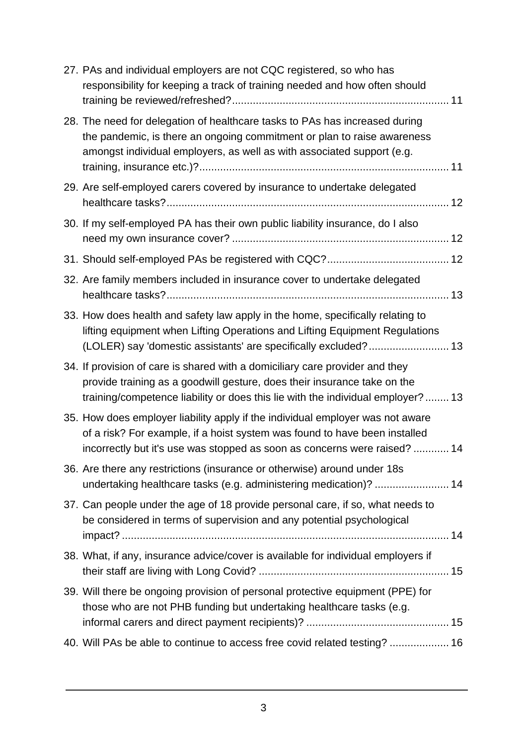| 27. PAs and individual employers are not CQC registered, so who has<br>responsibility for keeping a track of training needed and how often should                                                                                           |
|---------------------------------------------------------------------------------------------------------------------------------------------------------------------------------------------------------------------------------------------|
| 28. The need for delegation of healthcare tasks to PAs has increased during<br>the pandemic, is there an ongoing commitment or plan to raise awareness<br>amongst individual employers, as well as with associated support (e.g.            |
| 29. Are self-employed carers covered by insurance to undertake delegated                                                                                                                                                                    |
| 30. If my self-employed PA has their own public liability insurance, do I also                                                                                                                                                              |
|                                                                                                                                                                                                                                             |
| 32. Are family members included in insurance cover to undertake delegated                                                                                                                                                                   |
| 33. How does health and safety law apply in the home, specifically relating to<br>lifting equipment when Lifting Operations and Lifting Equipment Regulations<br>(LOLER) say 'domestic assistants' are specifically excluded? 13            |
| 34. If provision of care is shared with a domiciliary care provider and they<br>provide training as a goodwill gesture, does their insurance take on the<br>training/competence liability or does this lie with the individual employer? 13 |
| 35. How does employer liability apply if the individual employer was not aware<br>of a risk? For example, if a hoist system was found to have been installed<br>incorrectly but it's use was stopped as soon as concerns were raised?  14   |
| 36. Are there any restrictions (insurance or otherwise) around under 18s<br>undertaking healthcare tasks (e.g. administering medication)?  14                                                                                               |
| 37. Can people under the age of 18 provide personal care, if so, what needs to<br>be considered in terms of supervision and any potential psychological                                                                                     |
| 38. What, if any, insurance advice/cover is available for individual employers if                                                                                                                                                           |
| 39. Will there be ongoing provision of personal protective equipment (PPE) for<br>those who are not PHB funding but undertaking healthcare tasks (e.g.                                                                                      |
| 40. Will PAs be able to continue to access free covid related testing?  16                                                                                                                                                                  |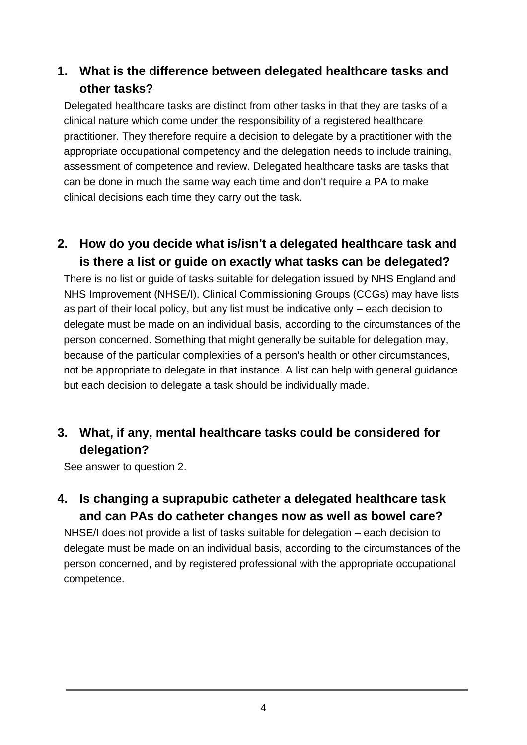#### <span id="page-3-0"></span>**1. What is the difference between delegated healthcare tasks and other tasks?**

Delegated healthcare tasks are distinct from other tasks in that they are tasks of a clinical nature which come under the responsibility of a registered healthcare practitioner. They therefore require a decision to delegate by a practitioner with the appropriate occupational competency and the delegation needs to include training, assessment of competence and review. Delegated healthcare tasks are tasks that can be done in much the same way each time and don't require a PA to make clinical decisions each time they carry out the task.

#### <span id="page-3-1"></span>**2. How do you decide what is/isn't a delegated healthcare task and is there a list or guide on exactly what tasks can be delegated?**

There is no list or guide of tasks suitable for delegation issued by NHS England and NHS Improvement (NHSE/I). Clinical Commissioning Groups (CCGs) may have lists as part of their local policy, but any list must be indicative only – each decision to delegate must be made on an individual basis, according to the circumstances of the person concerned. Something that might generally be suitable for delegation may, because of the particular complexities of a person's health or other circumstances, not be appropriate to delegate in that instance. A list can help with general guidance but each decision to delegate a task should be individually made.

#### <span id="page-3-2"></span>**3. What, if any, mental healthcare tasks could be considered for delegation?**

See answer to question 2.

#### <span id="page-3-3"></span>**4. Is changing a suprapubic catheter a delegated healthcare task and can PAs do catheter changes now as well as bowel care?**

<span id="page-3-4"></span>NHSE/I does not provide a list of tasks suitable for delegation – each decision to delegate must be made on an individual basis, according to the circumstances of the person concerned, and by registered professional with the appropriate occupational competence.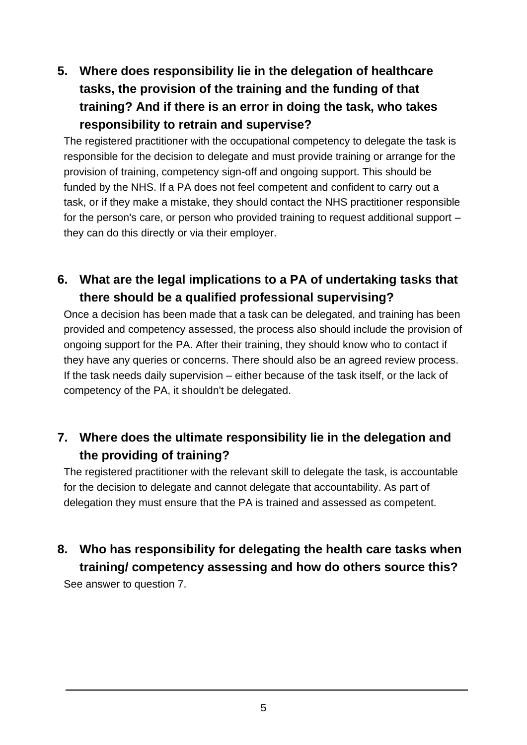## **5. Where does responsibility lie in the delegation of healthcare tasks, the provision of the training and the funding of that training? And if there is an error in doing the task, who takes responsibility to retrain and supervise?**

The registered practitioner with the occupational competency to delegate the task is responsible for the decision to delegate and must provide training or arrange for the provision of training, competency sign-off and ongoing support. This should be funded by the NHS. If a PA does not feel competent and confident to carry out a task, or if they make a mistake, they should contact the NHS practitioner responsible for the person's care, or person who provided training to request additional support – they can do this directly or via their employer.

#### <span id="page-4-0"></span>**6. What are the legal implications to a PA of undertaking tasks that there should be a qualified professional supervising?**

Once a decision has been made that a task can be delegated, and training has been provided and competency assessed, the process also should include the provision of ongoing support for the PA. After their training, they should know who to contact if they have any queries or concerns. There should also be an agreed review process. If the task needs daily supervision – either because of the task itself, or the lack of competency of the PA, it shouldn't be delegated.

#### <span id="page-4-1"></span>**7. Where does the ultimate responsibility lie in the delegation and the providing of training?**

The registered practitioner with the relevant skill to delegate the task, is accountable for the decision to delegate and cannot delegate that accountability. As part of delegation they must ensure that the PA is trained and assessed as competent.

#### <span id="page-4-2"></span>**8. Who has responsibility for delegating the health care tasks when training/ competency assessing and how do others source this?**

<span id="page-4-3"></span>See answer to question 7.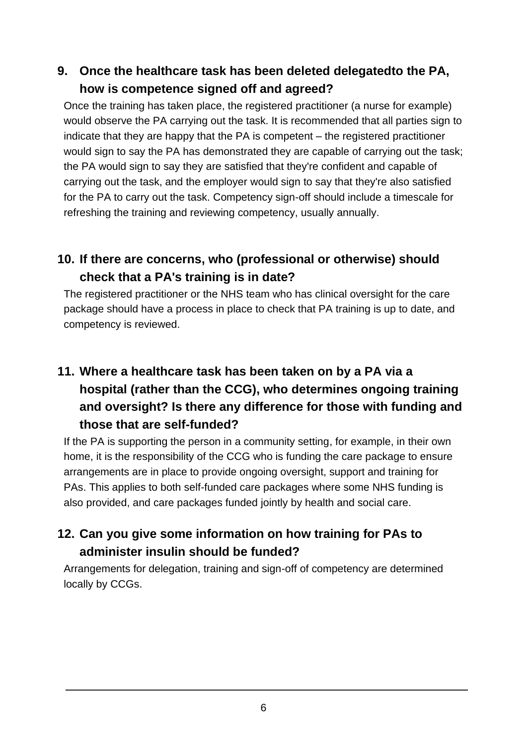#### **9. Once the healthcare task has been deleted delegatedto the PA, how is competence signed off and agreed?**

Once the training has taken place, the registered practitioner (a nurse for example) would observe the PA carrying out the task. It is recommended that all parties sign to indicate that they are happy that the PA is competent – the registered practitioner would sign to say the PA has demonstrated they are capable of carrying out the task; the PA would sign to say they are satisfied that they're confident and capable of carrying out the task, and the employer would sign to say that they're also satisfied for the PA to carry out the task. Competency sign-off should include a timescale for refreshing the training and reviewing competency, usually annually.

## <span id="page-5-0"></span>**10. If there are concerns, who (professional or otherwise) should check that a PA's training is in date?**

The registered practitioner or the NHS team who has clinical oversight for the care package should have a process in place to check that PA training is up to date, and competency is reviewed.

## <span id="page-5-1"></span>**11. Where a healthcare task has been taken on by a PA via a hospital (rather than the CCG), who determines ongoing training and oversight? Is there any difference for those with funding and those that are self-funded?**

If the PA is supporting the person in a community setting, for example, in their own home, it is the responsibility of the CCG who is funding the care package to ensure arrangements are in place to provide ongoing oversight, support and training for PAs. This applies to both self-funded care packages where some NHS funding is also provided, and care packages funded jointly by health and social care.

## <span id="page-5-2"></span>**12. Can you give some information on how training for PAs to administer insulin should be funded?**

<span id="page-5-3"></span>Arrangements for delegation, training and sign-off of competency are determined locally by CCGs.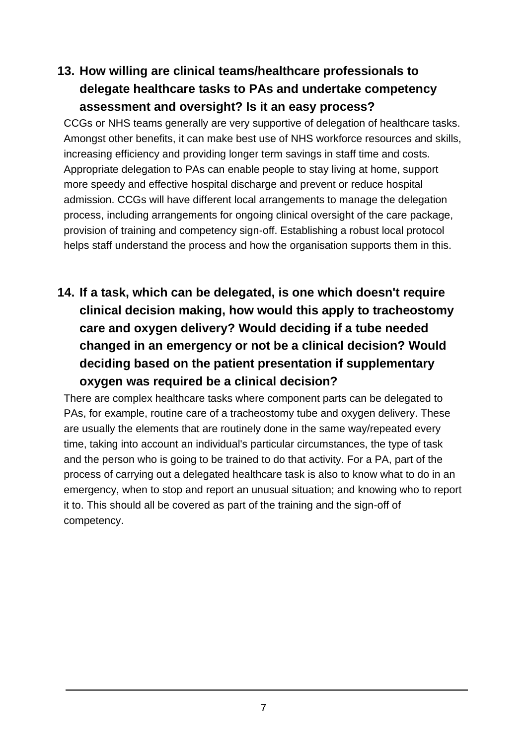## **13. How willing are clinical teams/healthcare professionals to delegate healthcare tasks to PAs and undertake competency assessment and oversight? Is it an easy process?**

CCGs or NHS teams generally are very supportive of delegation of healthcare tasks. Amongst other benefits, it can make best use of NHS workforce resources and skills, increasing efficiency and providing longer term savings in staff time and costs. Appropriate delegation to PAs can enable people to stay living at home, support more speedy and effective hospital discharge and prevent or reduce hospital admission. CCGs will have different local arrangements to manage the delegation process, including arrangements for ongoing clinical oversight of the care package, provision of training and competency sign-off. Establishing a robust local protocol helps staff understand the process and how the organisation supports them in this.

<span id="page-6-0"></span>**14. If a task, which can be delegated, is one which doesn't require clinical decision making, how would this apply to tracheostomy care and oxygen delivery? Would deciding if a tube needed changed in an emergency or not be a clinical decision? Would deciding based on the patient presentation if supplementary oxygen was required be a clinical decision?**

<span id="page-6-1"></span>There are complex healthcare tasks where component parts can be delegated to PAs, for example, routine care of a tracheostomy tube and oxygen delivery. These are usually the elements that are routinely done in the same way/repeated every time, taking into account an individual's particular circumstances, the type of task and the person who is going to be trained to do that activity. For a PA, part of the process of carrying out a delegated healthcare task is also to know what to do in an emergency, when to stop and report an unusual situation; and knowing who to report it to. This should all be covered as part of the training and the sign-off of competency.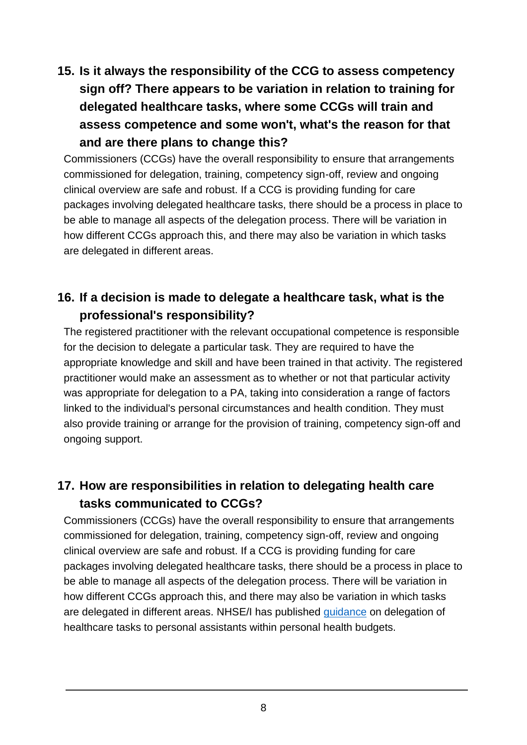## **15. Is it always the responsibility of the CCG to assess competency sign off? There appears to be variation in relation to training for delegated healthcare tasks, where some CCGs will train and assess competence and some won't, what's the reason for that and are there plans to change this?**

Commissioners (CCGs) have the overall responsibility to ensure that arrangements commissioned for delegation, training, competency sign-off, review and ongoing clinical overview are safe and robust. If a CCG is providing funding for care packages involving delegated healthcare tasks, there should be a process in place to be able to manage all aspects of the delegation process. There will be variation in how different CCGs approach this, and there may also be variation in which tasks are delegated in different areas.

## <span id="page-7-0"></span>**16. If a decision is made to delegate a healthcare task, what is the professional's responsibility?**

The registered practitioner with the relevant occupational competence is responsible for the decision to delegate a particular task. They are required to have the appropriate knowledge and skill and have been trained in that activity. The registered practitioner would make an assessment as to whether or not that particular activity was appropriate for delegation to a PA, taking into consideration a range of factors linked to the individual's personal circumstances and health condition. They must also provide training or arrange for the provision of training, competency sign-off and ongoing support.

#### <span id="page-7-1"></span>**17. How are responsibilities in relation to delegating health care tasks communicated to CCGs?**

Commissioners (CCGs) have the overall responsibility to ensure that arrangements commissioned for delegation, training, competency sign-off, review and ongoing clinical overview are safe and robust. If a CCG is providing funding for care packages involving delegated healthcare tasks, there should be a process in place to be able to manage all aspects of the delegation process. There will be variation in how different CCGs approach this, and there may also be variation in which tasks are delegated in different areas. NHSE/I has published [guidance](https://www.england.nhs.uk/publication/delegation-of-healthcare-tasks-to-personal-assistants/) on delegation of healthcare tasks to personal assistants within personal health budgets.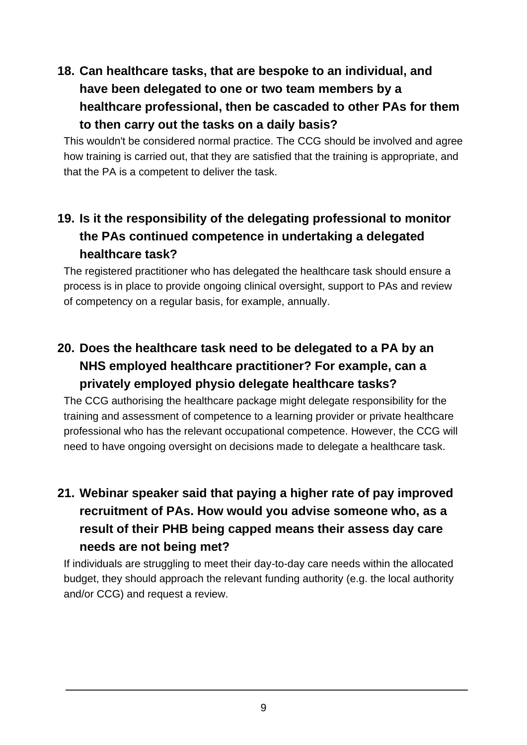## <span id="page-8-0"></span>**18. Can healthcare tasks, that are bespoke to an individual, and have been delegated to one or two team members by a healthcare professional, then be cascaded to other PAs for them to then carry out the tasks on a daily basis?**

This wouldn't be considered normal practice. The CCG should be involved and agree how training is carried out, that they are satisfied that the training is appropriate, and that the PA is a competent to deliver the task.

## <span id="page-8-1"></span>**19. Is it the responsibility of the delegating professional to monitor the PAs continued competence in undertaking a delegated healthcare task?**

The registered practitioner who has delegated the healthcare task should ensure a process is in place to provide ongoing clinical oversight, support to PAs and review of competency on a regular basis, for example, annually.

## <span id="page-8-2"></span>**20. Does the healthcare task need to be delegated to a PA by an NHS employed healthcare practitioner? For example, can a privately employed physio delegate healthcare tasks?**

The CCG authorising the healthcare package might delegate responsibility for the training and assessment of competence to a learning provider or private healthcare professional who has the relevant occupational competence. However, the CCG will need to have ongoing oversight on decisions made to delegate a healthcare task.

## <span id="page-8-3"></span>**21. Webinar speaker said that paying a higher rate of pay improved recruitment of PAs. How would you advise someone who, as a result of their PHB being capped means their assess day care needs are not being met?**

<span id="page-8-4"></span>If individuals are struggling to meet their day-to-day care needs within the allocated budget, they should approach the relevant funding authority (e.g. the local authority and/or CCG) and request a review.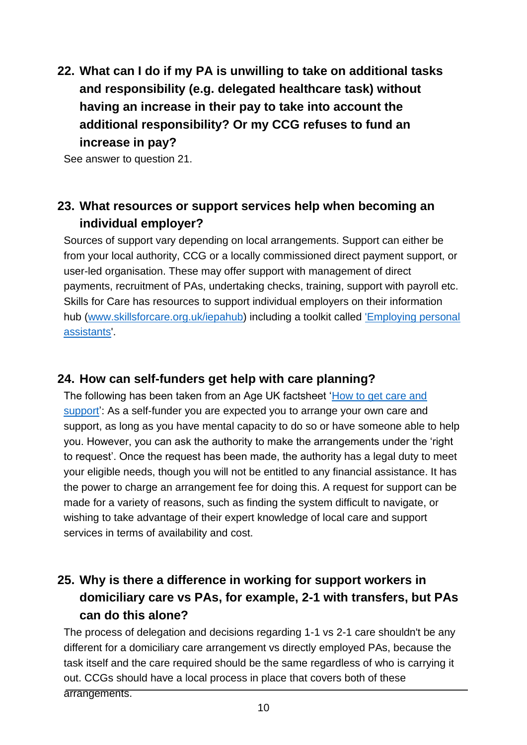**22. What can I do if my PA is unwilling to take on additional tasks and responsibility (e.g. delegated healthcare task) without having an increase in their pay to take into account the additional responsibility? Or my CCG refuses to fund an increase in pay?**

See answer to question 21.

#### <span id="page-9-0"></span>**23. What resources or support services help when becoming an individual employer?**

Sources of support vary depending on local arrangements. Support can either be from your local authority, CCG or a locally commissioned direct payment support, or user-led organisation. These may offer support with management of direct payments, recruitment of PAs, undertaking checks, training, support with payroll etc. Skills for Care has resources to support individual employers on their information hub [\(www.skillsforcare.org.uk/iepahub\)](http://www.skillsforcare.org.uk/iepahub) including a toolkit called ['Employing personal](https://www.skillsforcare.org.uk/Employing-your-own-care-and-support/Information-for-individual-employers/Information-for-individual-employers.aspx)  [assistants'.](https://www.skillsforcare.org.uk/Employing-your-own-care-and-support/Information-for-individual-employers/Information-for-individual-employers.aspx)

#### <span id="page-9-1"></span>**24. How can self-funders get help with care planning?**

The following has been taken from an Age UK factsheet ['How to get care and](https://www.ageuk.org.uk/globalassets/age-uk/documents/factsheets/fs41_how_to_get_care_and_support_fcs.pdf)  [support'](https://www.ageuk.org.uk/globalassets/age-uk/documents/factsheets/fs41_how_to_get_care_and_support_fcs.pdf): As a self-funder you are expected you to arrange your own care and support, as long as you have mental capacity to do so or have someone able to help you. However, you can ask the authority to make the arrangements under the 'right to request'. Once the request has been made, the authority has a legal duty to meet your eligible needs, though you will not be entitled to any financial assistance. It has the power to charge an arrangement fee for doing this. A request for support can be made for a variety of reasons, such as finding the system difficult to navigate, or wishing to take advantage of their expert knowledge of local care and support services in terms of availability and cost.

## <span id="page-9-2"></span>**25. Why is there a difference in working for support workers in domiciliary care vs PAs, for example, 2-1 with transfers, but PAs can do this alone?**

The process of delegation and decisions regarding 1-1 vs 2-1 care shouldn't be any different for a domiciliary care arrangement vs directly employed PAs, because the task itself and the care required should be the same regardless of who is carrying it out. CCGs should have a local process in place that covers both of these arrangements.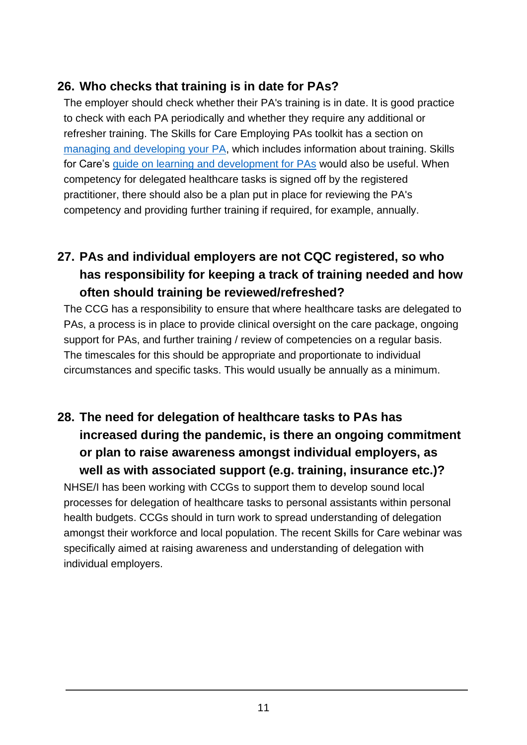#### <span id="page-10-0"></span>**26. Who checks that training is in date for PAs?**

The employer should check whether their PA's training is in date. It is good practice to check with each PA periodically and whether they require any additional or refresher training. The Skills for Care Employing PAs toolkit has a section on [managing and developing your PA,](https://www.skillsforcare.org.uk/Employing-your-own-care-and-support/Information-for-individual-employers/Managing-and-developing-your-PA.aspx) which includes information about training. Skills for Care's [guide on learning and development for PAs](https://www.skillsforcare.org.uk/Employing-your-own-care-and-support/Resources/Working-as-a-PA/5.-Training-and-qualifications/A-practical-guide-to-learning-and-development-for/A-practical-guide-to-learning-and-development-for-personal-assistants.pdf) would also be useful. When competency for delegated healthcare tasks is signed off by the registered practitioner, there should also be a plan put in place for reviewing the PA's competency and providing further training if required, for example, annually.

## <span id="page-10-1"></span>**27. PAs and individual employers are not CQC registered, so who has responsibility for keeping a track of training needed and how often should training be reviewed/refreshed?**

The CCG has a responsibility to ensure that where healthcare tasks are delegated to PAs, a process is in place to provide clinical oversight on the care package, ongoing support for PAs, and further training / review of competencies on a regular basis. The timescales for this should be appropriate and proportionate to individual circumstances and specific tasks. This would usually be annually as a minimum.

# <span id="page-10-2"></span>**28. The need for delegation of healthcare tasks to PAs has increased during the pandemic, is there an ongoing commitment or plan to raise awareness amongst individual employers, as well as with associated support (e.g. training, insurance etc.)?**

NHSE/I has been working with CCGs to support them to develop sound local processes for delegation of healthcare tasks to personal assistants within personal health budgets. CCGs should in turn work to spread understanding of delegation amongst their workforce and local population. The recent Skills for Care webinar was specifically aimed at raising awareness and understanding of delegation with individual employers.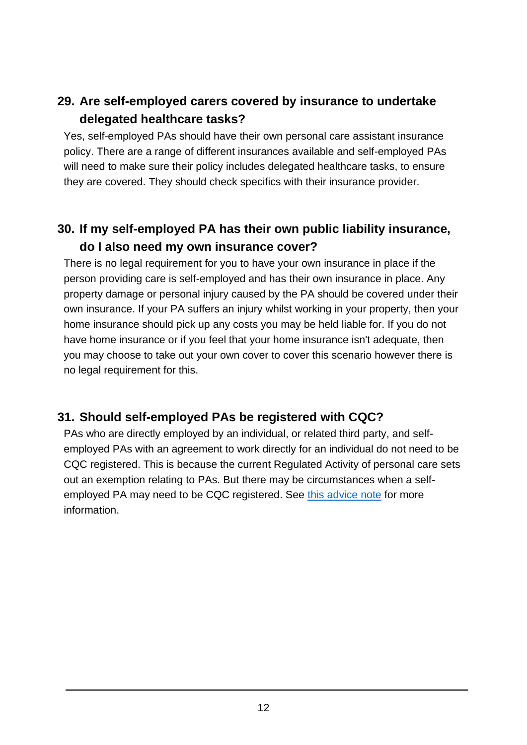## <span id="page-11-0"></span>**29. Are self-employed carers covered by insurance to undertake delegated healthcare tasks?**

Yes, self-employed PAs should have their own personal care assistant insurance policy. There are a range of different insurances available and self-employed PAs will need to make sure their policy includes delegated healthcare tasks, to ensure they are covered. They should check specifics with their insurance provider.

## <span id="page-11-1"></span>**30. If my self-employed PA has their own public liability insurance, do I also need my own insurance cover?**

There is no legal requirement for you to have your own insurance in place if the person providing care is self-employed and has their own insurance in place. Any property damage or personal injury caused by the PA should be covered under their own insurance. If your PA suffers an injury whilst working in your property, then your home insurance should pick up any costs you may be held liable for. If you do not have home insurance or if you feel that your home insurance isn't adequate, then you may choose to take out your own cover to cover this scenario however there is no legal requirement for this.

#### <span id="page-11-2"></span>**31. Should self-employed PAs be registered with CQC?**

<span id="page-11-3"></span>PAs who are directly employed by an individual, or related third party, and selfemployed PAs with an agreement to work directly for an individual do not need to be CQC registered. This is because the current Regulated Activity of personal care sets out an exemption relating to PAs. But there may be circumstances when a selfemployed PA may need to be CQC registered. See [this advice note](https://www.skillsforcare.org.uk/Employing-your-own-care-and-support/Resources/Working-as-a-PA/1.-What-is-a-PA/PA-working-and-CQC-registration/PA-working-and-CQC-registration.pdf) for more information.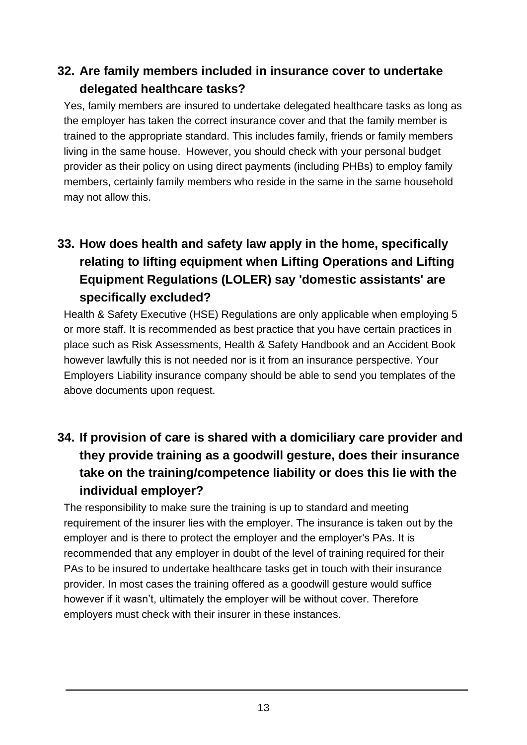#### **32. Are family members included in insurance cover to undertake delegated healthcare tasks?**

Yes, family members are insured to undertake delegated healthcare tasks as long as the employer has taken the correct insurance cover and that the family member is trained to the appropriate standard. This includes family, friends or family members living in the same house. However, you should check with your personal budget provider as their policy on using direct payments (including PHBs) to employ family members, certainly family members who reside in the same in the same household may not allow this.

# <span id="page-12-0"></span>**33. How does health and safety law apply in the home, specifically relating to lifting equipment when Lifting Operations and Lifting Equipment Regulations (LOLER) say 'domestic assistants' are specifically excluded?**

Health & Safety Executive (HSE) Regulations are only applicable when employing 5 or more staff. It is recommended as best practice that you have certain practices in place such as Risk Assessments, Health & Safety Handbook and an Accident Book however lawfully this is not needed nor is it from an insurance perspective. Your Employers Liability insurance company should be able to send you templates of the above documents upon request.

## <span id="page-12-1"></span>**34. If provision of care is shared with a domiciliary care provider and they provide training as a goodwill gesture, does their insurance take on the training/competence liability or does this lie with the individual employer?**

<span id="page-12-2"></span>The responsibility to make sure the training is up to standard and meeting requirement of the insurer lies with the employer. The insurance is taken out by the employer and is there to protect the employer and the employer's PAs. It is recommended that any employer in doubt of the level of training required for their PAs to be insured to undertake healthcare tasks get in touch with their insurance provider. In most cases the training offered as a goodwill gesture would suffice however if it wasn't, ultimately the employer will be without cover. Therefore employers must check with their insurer in these instances.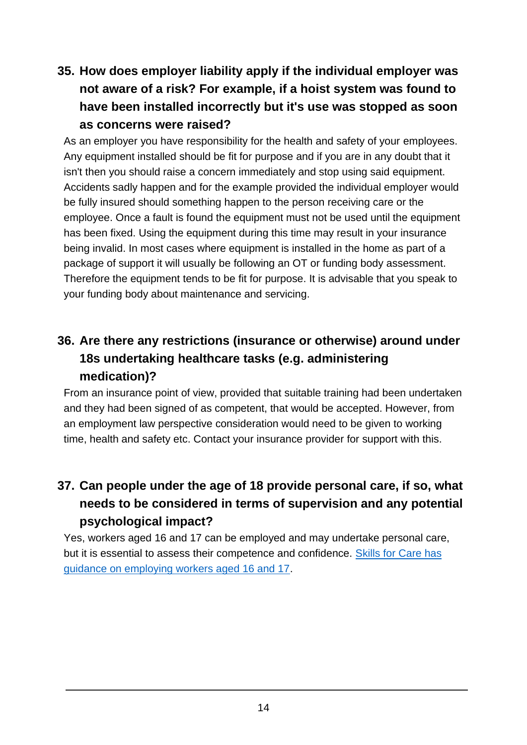## **35. How does employer liability apply if the individual employer was not aware of a risk? For example, if a hoist system was found to have been installed incorrectly but it's use was stopped as soon as concerns were raised?**

As an employer you have responsibility for the health and safety of your employees. Any equipment installed should be fit for purpose and if you are in any doubt that it isn't then you should raise a concern immediately and stop using said equipment. Accidents sadly happen and for the example provided the individual employer would be fully insured should something happen to the person receiving care or the employee. Once a fault is found the equipment must not be used until the equipment has been fixed. Using the equipment during this time may result in your insurance being invalid. In most cases where equipment is installed in the home as part of a package of support it will usually be following an OT or funding body assessment. Therefore the equipment tends to be fit for purpose. It is advisable that you speak to your funding body about maintenance and servicing.

# <span id="page-13-0"></span>**36. Are there any restrictions (insurance or otherwise) around under 18s undertaking healthcare tasks (e.g. administering medication)?**

From an insurance point of view, provided that suitable training had been undertaken and they had been signed of as competent, that would be accepted. However, from an employment law perspective consideration would need to be given to working time, health and safety etc. Contact your insurance provider for support with this.

## <span id="page-13-1"></span>**37. Can people under the age of 18 provide personal care, if so, what needs to be considered in terms of supervision and any potential psychological impact?**

<span id="page-13-2"></span>Yes, workers aged 16 and 17 can be employed and may undertake personal care, but it is essential to assess their competence and confidence. [Skills for Care has](https://www.skillsforcare.org.uk/resources/documents/Recruitment-support/Widen-your-talent-pool/Employing-16-17-year-olds/Guidance-on-employing-workers-aged-16-and-17.pdf)  [guidance on employing workers aged 16 and 17.](https://www.skillsforcare.org.uk/resources/documents/Recruitment-support/Widen-your-talent-pool/Employing-16-17-year-olds/Guidance-on-employing-workers-aged-16-and-17.pdf)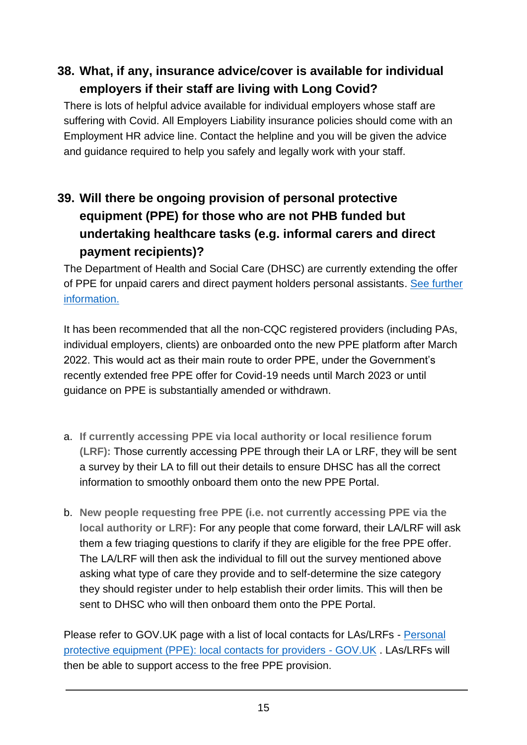## **38. What, if any, insurance advice/cover is available for individual employers if their staff are living with Long Covid?**

There is lots of helpful advice available for individual employers whose staff are suffering with Covid. All Employers Liability insurance policies should come with an Employment HR advice line. Contact the helpline and you will be given the advice and guidance required to help you safely and legally work with your staff.

# <span id="page-14-0"></span>**39. Will there be ongoing provision of personal protective equipment (PPE) for those who are not PHB funded but undertaking healthcare tasks (e.g. informal carers and direct payment recipients)?**

The Department of Health and Social Care (DHSC) are currently extending the offer of PPE for unpaid carers and direct payment holders personal assistants. [See further](https://www.gov.uk/government/consultations/extending-free-ppe-to-the-health-and-care-sector/outcome/extending-free-ppe-to-the-health-and-care-sector-government-response-to-public-consultation.)  [information.](https://www.gov.uk/government/consultations/extending-free-ppe-to-the-health-and-care-sector/outcome/extending-free-ppe-to-the-health-and-care-sector-government-response-to-public-consultation.)

It has been recommended that all the non-CQC registered providers (including PAs, individual employers, clients) are onboarded onto the new PPE platform after March 2022. This would act as their main route to order PPE, under the Government's recently extended free PPE offer for Covid-19 needs until March 2023 or until guidance on PPE is substantially amended or withdrawn.

- a. **If currently accessing PPE via local authority or local resilience forum (LRF):** Those currently accessing PPE through their LA or LRF, they will be sent a survey by their LA to fill out their details to ensure DHSC has all the correct information to smoothly onboard them onto the new PPE Portal.
- b. **New people requesting free PPE (i.e. not currently accessing PPE via the local authority or LRF):** For any people that come forward, their LA/LRF will ask them a few triaging questions to clarify if they are eligible for the free PPE offer. The LA/LRF will then ask the individual to fill out the survey mentioned above asking what type of care they provide and to self-determine the size category they should register under to help establish their order limits. This will then be sent to DHSC who will then onboard them onto the PPE Portal.

Please refer to GOV.UK page with a list of local contacts for LAs/LRFs - [Personal](https://www.gov.uk/guidance/personal-protective-equipment-ppe-local-contacts-for-care-providers)  [protective equipment \(PPE\): local contacts for providers -](https://www.gov.uk/guidance/personal-protective-equipment-ppe-local-contacts-for-care-providers) GOV.UK . LAs/LRFs will then be able to support access to the free PPE provision.